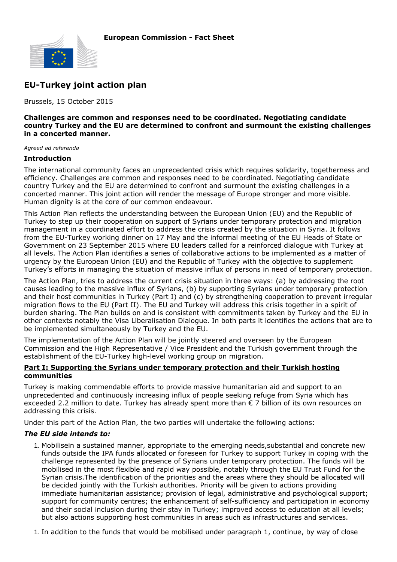

# **EU-Turkey joint action plan**

Brussels, 15 October 2015

#### **Challenges are common and responses need to be coordinated. Negotiating candidate country Turkey and the EU are determined to confront and surmount the existing challenges in a concerted manner.**

*Agreed ad referenda*

#### **Introduction**

The international community faces an unprecedented crisis which requires solidarity, togetherness and efficiency. Challenges are common and responses need to be coordinated. Negotiating candidate country Turkey and the EU are determined to confront and surmount the existing challenges in a concerted manner. This joint action will render the message of Europe stronger and more visible. Human dignity is at the core of our common endeavour.

This Action Plan reflects the understanding between the European Union (EU) and the Republic of Turkey to step up their cooperation on support of Syrians under temporary protection and migration management in a coordinated effort to address the crisis created by the situation in Syria. It follows from the EU-Turkey working dinner on 17 May and the informal meeting of the EU Heads of State or Government on 23 September 2015 where EU leaders called for a reinforced dialogue with Turkey at all levels. The Action Plan identifies a series of collaborative actions to be implemented as a matter of urgency by the European Union (EU) and the Republic of Turkey with the objective to supplement Turkey's efforts in managing the situation of massive influx of persons in need of temporary protection.

The Action Plan, tries to address the current crisis situation in three ways: (a) by addressing the root causes leading to the massive influx of Syrians, (b) by supporting Syrians under temporary protection and their host communities in Turkey (Part I) and (c) by strengthening cooperation to prevent irregular migration flows to the EU (Part II). The EU and Turkey will address this crisis together in a spirit of burden sharing. The Plan builds on and is consistent with commitments taken by Turkey and the EU in other contexts notably the Visa Liberalisation Dialogue. In both parts it identifies the actions that are to be implemented simultaneously by Turkey and the EU.

The implementation of the Action Plan will be jointly steered and overseen by the European Commission and the High Representative / Vice President and the Turkish government through the establishment of the EU-Turkey high-level working group on migration.

## **Part I: Supporting the Syrians under temporary protection and their Turkish hosting communities**

Turkey is making commendable efforts to provide massive humanitarian aid and support to an unprecedented and continuously increasing influx of people seeking refuge from Syria which has exceeded 2.2 million to date. Turkey has already spent more than € 7 billion of its own resources on addressing this crisis.

Under this part of the Action Plan, the two parties will undertake the following actions:

## *The EU side intends to:*

- 1. Mobilisein a sustained manner, appropriate to the emerging needs, substantial and concrete new funds outside the IPA funds allocated or foreseen for Turkey to support Turkey in coping with the challenge represented by the presence of Syrians under temporary protection. The funds will be mobilised in the most flexible and rapid way possible, notably through the EU Trust Fund for the Syrian crisis.The identification of the priorities and the areas where they should be allocated will be decided jointly with the Turkish authorities. Priority will be given to actions providing immediate humanitarian assistance; provision of legal, administrative and psychological support; support for community centres; the enhancement of self-sufficiency and participation in economy and their social inclusion during their stay in Turkey; improved access to education at all levels; but also actions supporting host communities in areas such as infrastructures and services.
- 1. In addition to the funds that would be mobilised under paragraph 1, continue, by way of close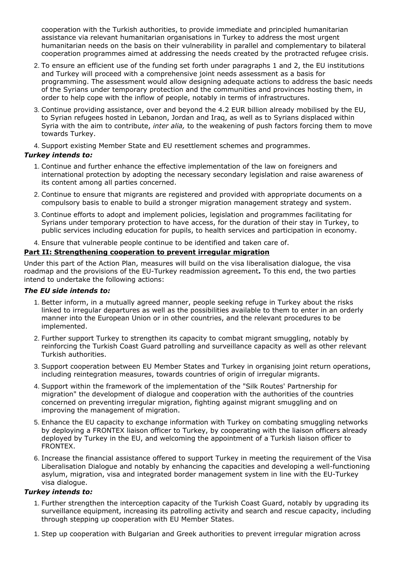cooperation with the Turkish authorities, to provide immediate and principled humanitarian assistance via relevant humanitarian organisations in Turkey to address the most urgent humanitarian needs on the basis on their vulnerability in parallel and complementary to bilateral cooperation programmes aimed at addressing the needs created by the protracted refugee crisis.

- 2. To ensure an efficient use of the funding set forth under paragraphs 1 and 2, the EU institutions and Turkey will proceed with a comprehensive joint needs assessment as a basis for programming. The assessment would allow designing adequate actions to address the basic needs of the Syrians under temporary protection and the communities and provinces hosting them, in order to help cope with the inflow of people, notably in terms of infrastructures.
- 3. Continue providing assistance, over and beyond the 4.2 EUR billion already mobilised by the EU, to Syrian refugees hosted in Lebanon, Jordan and Iraq, as well as to Syrians displaced within Syria with the aim to contribute, *inter alia,* to the weakening of push factors forcing them to move towards Turkey.
- 4. Support existing Member State and EU resettlement schemes and programmes.

# *Turkey intends to:*

- 1. Continue and further enhance the effective implementation of the law on foreigners and international protection by adopting the necessary secondary legislation and raise awareness of its content among all parties concerned.
- 2. Continue to ensure that migrants are registered and provided with appropriate documents on a compulsory basis to enable to build a stronger migration management strategy and system.
- 3. Continue efforts to adopt and implement policies, legislation and programmes facilitating for Syrians under temporary protection to have access, for the duration of their stay in Turkey, to public services including education for pupils, to health services and participation in economy.
- 4. Ensure that vulnerable people continue to be identified and taken care of.

# **Part II: Strengthening cooperation to prevent irregular migration**

Under this part of the Action Plan, measures will build on the visa liberalisation dialogue, the visa roadmap and the provisions of the EU-Turkey readmission agreement**.** To this end, the two parties intend to undertake the following actions:

# *The EU side intends to:*

- 1. Better inform, in a mutually agreed manner, people seeking refuge in Turkey about the risks linked to irregular departures as well as the possibilities available to them to enter in an orderly manner into the European Union or in other countries, and the relevant procedures to be implemented.
- 2. Further support Turkey to strengthen its capacity to combat migrant smuggling, notably by reinforcing the Turkish Coast Guard patrolling and surveillance capacity as well as other relevant Turkish authorities.
- 3. Support cooperation between EU Member States and Turkey in organising joint return operations, including reintegration measures, towards countries of origin of irregular migrants.
- 4. Support within the framework of the implementation of the "Silk Routes' Partnership for migration" the development of dialogue and cooperation with the authorities of the countries concerned on preventing irregular migration, fighting against migrant smuggling and on improving the management of migration.
- Enhance the EU capacity to exchange information with Turkey on combating smuggling networks 5. by deploying a FRONTEX liaison officer to Turkey, by cooperating with the liaison officers already deployed by Turkey in the EU, and welcoming the appointment of a Turkish liaison officer to FRONTEX.
- 6. Increase the financial assistance offered to support Turkey in meeting the requirement of the Visa Liberalisation Dialogue and notably by enhancing the capacities and developing a well-functioning asylum, migration, visa and integrated border management system in line with the EU-Turkey visa dialogue.

# *Turkey intends to:*

- 1. Further strengthen the interception capacity of the Turkish Coast Guard, notably by upgrading its surveillance equipment, increasing its patrolling activity and search and rescue capacity, including through stepping up cooperation with EU Member States.
- 1. Step up cooperation with Bulgarian and Greek authorities to prevent irregular migration across